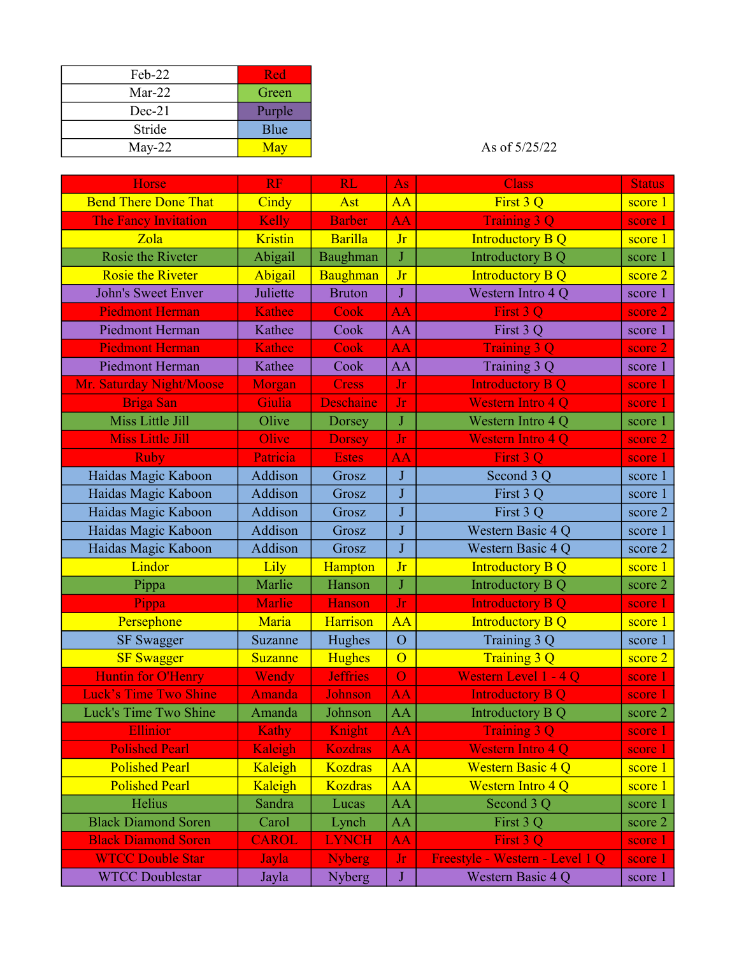| $Feh-22$ | Red    |
|----------|--------|
| $Mar-22$ | Green  |
| $Dec-21$ | Purple |
| Stride   | Blue   |
| $May-22$ | May    |

## As of  $5/25/22$

| Horse                        | <b>RF</b>     | <b>RL</b>        | As                      | <b>Class</b>                    | <b>Status</b> |
|------------------------------|---------------|------------------|-------------------------|---------------------------------|---------------|
| <b>Bend There Done That</b>  | Cindy         | Ast              | $\overline{AA}$         | First 3 Q                       | score 1       |
| The Fancy Invitation         | Kelly         | <b>Barber</b>    | <b>AA</b>               | <b>Training 3 Q</b>             | score 1       |
| Zola                         | Kristin       | <b>Barilla</b>   | <b>Jr</b>               | <b>Introductory B Q</b>         | score 1       |
| Rosie the Riveter            | Abigail       | Baughman         | J                       | Introductory B Q                | score 1       |
| <b>Rosie the Riveter</b>     | Abigail       | Baughman         | Jr                      | <b>Introductory B Q</b>         | score 2       |
| <b>John's Sweet Enver</b>    | Juliette      | <b>Bruton</b>    | $\bf J$                 | Western Intro 4 Q               | score 1       |
| <b>Piedmont Herman</b>       | <b>Kathee</b> | Cook             | <b>AA</b>               | First 3 Q                       | score 2       |
| Piedmont Herman              | Kathee        | Cook             | AA                      | First 3 Q                       | score 1       |
| <b>Piedmont Herman</b>       | Kathee        | Cook             | <b>AA</b>               | <b>Training 3 Q</b>             | score 2       |
| Piedmont Herman              | Kathee        | Cook             | AA                      | Training 3 Q                    | score 1       |
| Mr. Saturday Night/Moose     | Morgan        | <b>Cress</b>     | Jr                      | <b>Introductory B Q</b>         | score 1       |
| <b>Briga San</b>             | Giulia        | <b>Deschaine</b> | Jr                      | <b>Western Intro 4 Q</b>        | score 1       |
| Miss Little Jill             | Olive         | Dorsey           | ${\bf J}$               | Western Intro 4 Q               | score 1       |
| <b>Miss Little Jill</b>      | Olive         | <b>Dorsey</b>    | Jr                      | <b>Western Intro 4 Q</b>        | score 2       |
| <b>Ruby</b>                  | Patricia      | <b>Estes</b>     | <b>AA</b>               | First 3 Q                       | score 1       |
| Haidas Magic Kaboon          | Addison       | Grosz            | $\bf J$                 | Second 3 Q                      | score 1       |
| Haidas Magic Kaboon          | Addison       | Grosz            | $\mathbf{J}$            | First 3 Q                       | score 1       |
| Haidas Magic Kaboon          | Addison       | Grosz            | J                       | First 3 Q                       | score 2       |
| Haidas Magic Kaboon          | Addison       | Grosz            | J                       | Western Basic 4 Q               | score 1       |
| Haidas Magic Kaboon          | Addison       | Grosz            | $\overline{J}$          | Western Basic 4 Q               | score 2       |
| Lindor                       | Lily          | Hampton          | Jr                      | <b>Introductory B Q</b>         | score 1       |
| Pippa                        | Marlie        | Hanson           | $\overline{\mathbf{J}}$ | Introductory B Q                | score 2       |
| Pippa                        | Marlie        | Hanson           | Jr                      | <b>Introductory B Q</b>         | score 1       |
| Persephone                   | Maria         | Harrison         | <b>AA</b>               | <b>Introductory B Q</b>         | score 1       |
| <b>SF Swagger</b>            | Suzanne       | Hughes           | $\overline{O}$          | Training 3 Q                    | score 1       |
| <b>SF Swagger</b>            | Suzanne       | <b>Hughes</b>    | $\overline{O}$          | Training 3 Q                    | score 2       |
| <b>Huntin for O'Henry</b>    | Wendy         | <b>Jeffries</b>  | $\overline{O}$          | Western Level 1 - 4 Q           | score 1       |
| <b>Luck's Time Two Shine</b> | Amanda        | Johnson          | <b>AA</b>               | <b>Introductory B Q</b>         | score 1       |
| Luck's Time Two Shine        | Amanda        | Johnson          | AA                      | Introductory B Q                | score 2       |
| <b>Ellinior</b>              | Kathy         | Knight           | <b>AA</b>               | <b>Training 3 Q</b>             | score 1       |
| <b>Polished Pearl</b>        | Kaleigh       | Kozdras          | AA                      | Western Intro 4 Q               | score 1       |
| <b>Polished Pearl</b>        | Kaleigh       | Kozdras          | <b>AA</b>               | <b>Western Basic 4 Q</b>        | score 1       |
| <b>Polished Pearl</b>        | Kaleigh       | <b>Kozdras</b>   | AA                      | <b>Western Intro 4 Q</b>        | score 1       |
| Helius                       | Sandra        | Lucas            | AA                      | Second 3 Q                      | score 1       |
| <b>Black Diamond Soren</b>   | Carol         | Lynch            | AA                      | First 3 Q                       | score 2       |
| <b>Black Diamond Soren</b>   | <b>CAROL</b>  | <b>LYNCH</b>     | <b>AA</b>               | First 3 O                       | score 1       |
| <b>WTCC Double Star</b>      | Jayla         | <b>Nyberg</b>    | Jr                      | Freestyle - Western - Level 1 Q | score 1       |
| <b>WTCC Doublestar</b>       | Jayla         | Nyberg           | $\bf J$                 | Western Basic 4 Q               | score 1       |